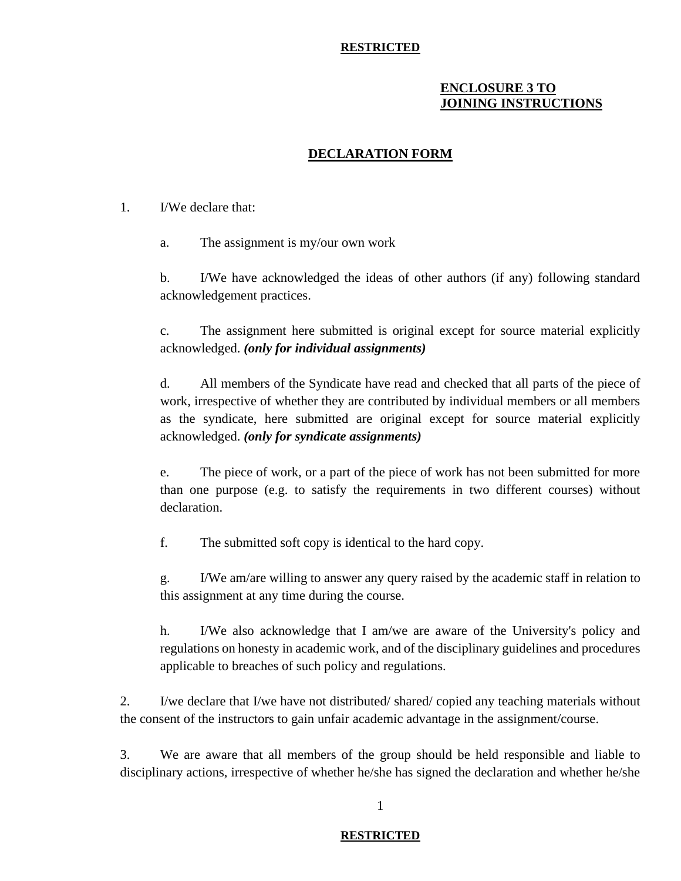#### **RESTRICTED**

# **ENCLOSURE 3 TO JOINING INSTRUCTIONS**

# **DECLARATION FORM**

#### 1. I/We declare that:

a. The assignment is my/our own work

b. I/We have acknowledged the ideas of other authors (if any) following standard acknowledgement practices.

c. The assignment here submitted is original except for source material explicitly acknowledged. *(only for individual assignments)*

d. All members of the Syndicate have read and checked that all parts of the piece of work, irrespective of whether they are contributed by individual members or all members as the syndicate, here submitted are original except for source material explicitly acknowledged. *(only for syndicate assignments)*

e. The piece of work, or a part of the piece of work has not been submitted for more than one purpose (e.g. to satisfy the requirements in two different courses) without declaration.

f. The submitted soft copy is identical to the hard copy.

g. I/We am/are willing to answer any query raised by the academic staff in relation to this assignment at any time during the course.

h. I/We also acknowledge that I am/we are aware of the University's policy and regulations on honesty in academic work, and of the disciplinary guidelines and procedures applicable to breaches of such policy and regulations.

2. I/we declare that I/we have not distributed/ shared/ copied any teaching materials without the consent of the instructors to gain unfair academic advantage in the assignment/course.

3. We are aware that all members of the group should be held responsible and liable to disciplinary actions, irrespective of whether he/she has signed the declaration and whether he/she

## 1

#### **RESTRICTED**